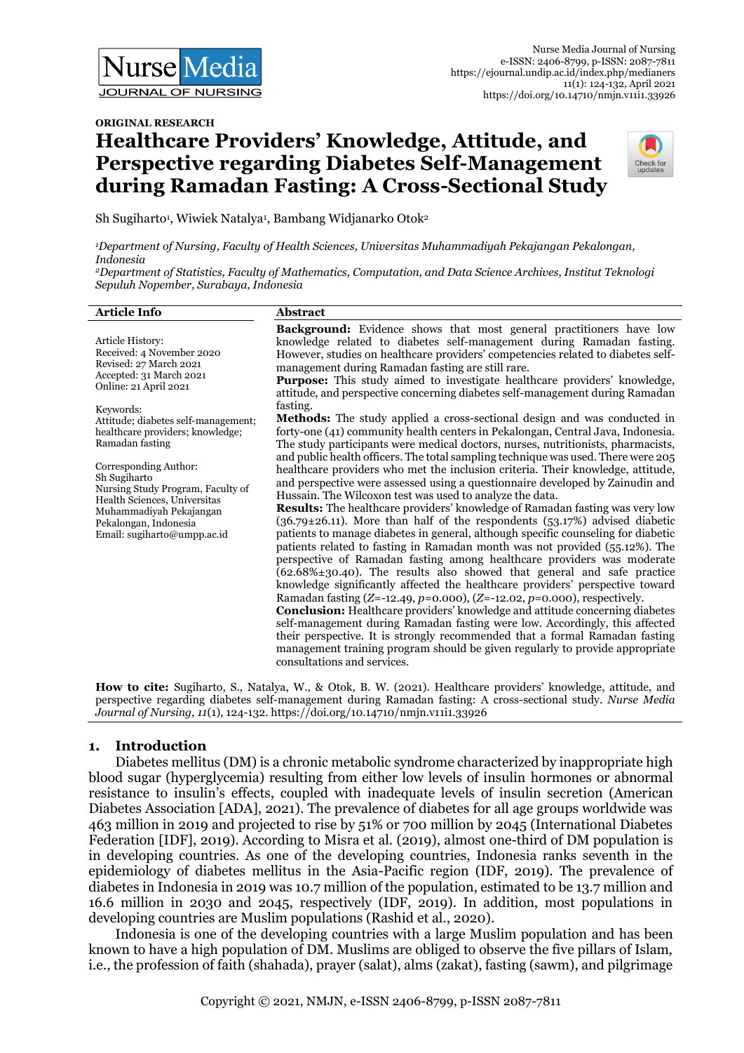#### **ORIGINAL RESEARCH**

# **Healthcare Providers' Knowledge, Attitude, and Perspective regarding Diabetes Self-Management during Ramadan Fasting: A Cross-Sectional Study**



Sh Sugiharto<sup>1</sup>, Wiwiek Natalya<sup>1</sup>, Bambang Widjanarko Otok<sup>2</sup>

*<sup>1</sup>Department of Nursing, Faculty of Health Sciences, Universitas Muhammadiyah Pekajangan Pekalongan, Indonesia*

*<sup>2</sup>Department of Statistics, Faculty of Mathematics, Computation, and Data Science Archives, Institut Teknologi Sepuluh Nopember, Surabaya, Indonesia*

#### **Article Info Abstract**

Article History: Received: 4 November 2020 Revised: 27 March 2021 Accepted: 31 March 2021 Online: 21 April 2021

Keywords:

Attitude; diabetes self-management; healthcare providers; knowledge; Ramadan fasting

Corresponding Author: Sh Sugiharto Nursing Study Program, Faculty of Health Sciences, Universitas Muhammadiyah Pekajangan Pekalongan, Indonesia Email: sugiharto@umpp.ac.id

**Background:** Evidence shows that most general practitioners have low knowledge related to diabetes self-management during Ramadan fasting. However, studies on healthcare providers' competencies related to diabetes selfmanagement during Ramadan fasting are still rare.

Purpose: This study aimed to investigate healthcare providers' knowledge, attitude, and perspective concerning diabetes self-management during Ramadan fasting.

**Methods:** The study applied a cross-sectional design and was conducted in forty-one (41) community health centers in Pekalongan, Central Java, Indonesia. The study participants were medical doctors, nurses, nutritionists, pharmacists, and public health officers. The total sampling technique was used. There were 205 healthcare providers who met the inclusion criteria. Their knowledge, attitude, and perspective were assessed using a questionnaire developed by Zainudin and Hussain. The Wilcoxon test was used to analyze the data.

**Results:** The healthcare providers' knowledge of Ramadan fasting was very low  $(36.79 \pm 26.11)$ . More than half of the respondents  $(53.17%)$  advised diabetic patients to manage diabetes in general, although specific counseling for diabetic patients related to fasting in Ramadan month was not provided (55.12%). The perspective of Ramadan fasting among healthcare providers was moderate  $(62.68\text{**}30.40)$ . The results also showed that general and safe practice knowledge significantly affected the healthcare providers' perspective toward Ramadan fasting (*Z*=-12.49, *p*=0.000), (*Z*=-12.02, *p*=0.000), respectively.

**Conclusion:** Healthcare providers' knowledge and attitude concerning diabetes self-management during Ramadan fasting were low. Accordingly, this affected their perspective. It is strongly recommended that a formal Ramadan fasting management training program should be given regularly to provide appropriate consultations and services.

**How to cite:** Sugiharto, S., Natalya, W., & Otok, B. W. (2021). Healthcare providers' knowledge, attitude, and perspective regarding diabetes self-management during Ramadan fasting: A cross-sectional study. *Nurse Media Journal of Nursing, 11*(1), 124-132. https://doi.org/10.14710/nmjn.v11i1.33926

# **1. Introduction**

Diabetes mellitus (DM) is a chronic metabolic syndrome characterized by inappropriate high blood sugar (hyperglycemia) resulting from either low levels of insulin hormones or abnormal resistance to insulin's effects, coupled with inadequate levels of insulin secretion (American Diabetes Association [ADA], 2021). The prevalence of diabetes for all age groups worldwide was 463 million in 2019 and projected to rise by 51% or 700 million by 2045 (International Diabetes Federation [IDF], 2019). According to Misra et al. (2019), almost one-third of DM population is in developing countries. As one of the developing countries, Indonesia ranks seventh in the epidemiology of diabetes mellitus in the Asia-Pacific region (IDF, 2019). The prevalence of diabetes in Indonesia in 2019 was 10.7 million of the population, estimated to be 13.7 million and 16.6 million in 2030 and 2045, respectively (IDF, 2019). In addition, most populations in developing countries are Muslim populations (Rashid et al., 2020).

Indonesia is one of the developing countries with a large Muslim population and has been known to have a high population of DM. Muslims are obliged to observe the five pillars of Islam, i.e., the profession of faith (shahada), prayer (salat), alms (zakat), fasting (sawm), and pilgrimage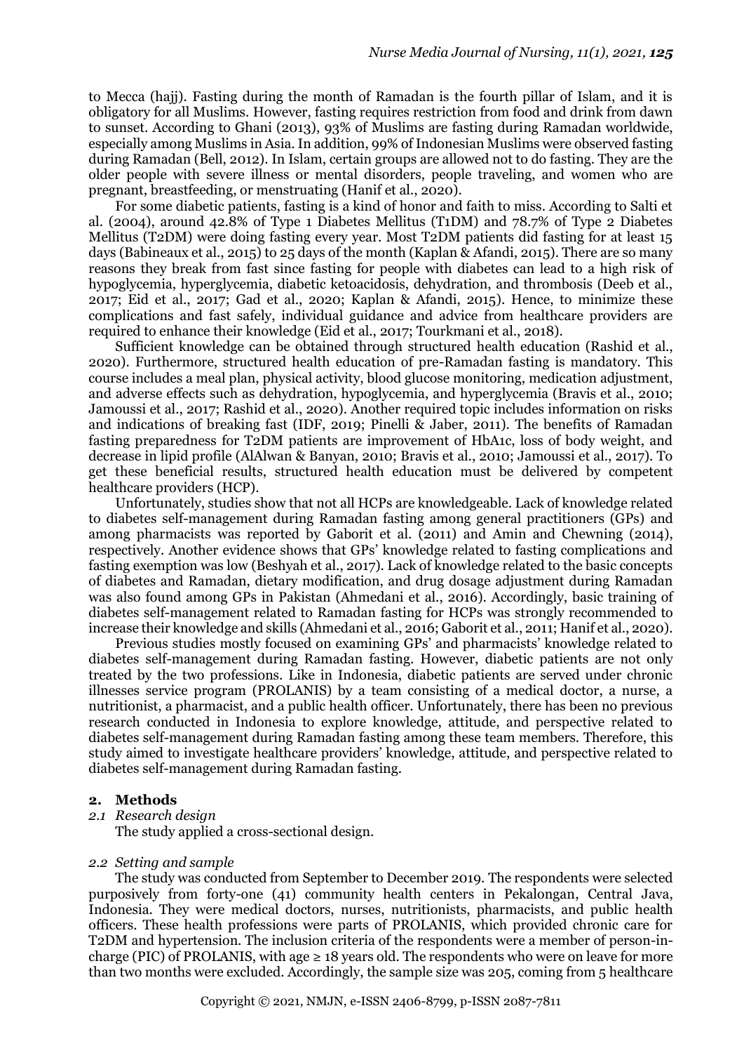to Mecca (hajj). Fasting during the month of Ramadan is the fourth pillar of Islam, and it is obligatory for all Muslims. However, fasting requires restriction from food and drink from dawn to sunset. According to Ghani (2013), 93% of Muslims are fasting during Ramadan worldwide, especially among Muslims in Asia. In addition, 99% of Indonesian Muslims were observed fasting during Ramadan (Bell, 2012). In Islam, certain groups are allowed not to do fasting. They are the older people with severe illness or mental disorders, people traveling, and women who are pregnant, breastfeeding, or menstruating (Hanif et al., 2020).

For some diabetic patients, fasting is a kind of honor and faith to miss. According to Salti et al. (2004), around 42.8% of Type 1 Diabetes Mellitus (T1DM) and 78.7% of Type 2 Diabetes Mellitus (T2DM) were doing fasting every year. Most T2DM patients did fasting for at least 15 days (Babineaux et al., 2015) to 25 days of the month (Kaplan & Afandi, 2015). There are so many reasons they break from fast since fasting for people with diabetes can lead to a high risk of hypoglycemia, hyperglycemia, diabetic ketoacidosis, dehydration, and thrombosis (Deeb et al., 2017; Eid et al., 2017; Gad et al., 2020; Kaplan & Afandi, 2015). Hence, to minimize these complications and fast safely, individual guidance and advice from healthcare providers are required to enhance their knowledge (Eid et al., 2017; Tourkmani et al., 2018).

Sufficient knowledge can be obtained through structured health education (Rashid et al., 2020). Furthermore, structured health education of pre-Ramadan fasting is mandatory. This course includes a meal plan, physical activity, blood glucose monitoring, medication adjustment, and adverse effects such as dehydration, hypoglycemia, and hyperglycemia (Bravis et al., 2010; Jamoussi et al., 2017; Rashid et al., 2020). Another required topic includes information on risks and indications of breaking fast (IDF, 2019; Pinelli & Jaber, 2011). The benefits of Ramadan fasting preparedness for T2DM patients are improvement of HbA1c, loss of body weight, and decrease in lipid profile (AlAlwan & Banyan, 2010; Bravis et al., 2010; Jamoussi et al., 2017). To get these beneficial results, structured health education must be delivered by competent healthcare providers (HCP).

Unfortunately, studies show that not all HCPs are knowledgeable. Lack of knowledge related to diabetes self-management during Ramadan fasting among general practitioners (GPs) and among pharmacists was reported by Gaborit et al. (2011) and Amin and Chewning (2014), respectively. Another evidence shows that GPs' knowledge related to fasting complications and fasting exemption was low (Beshyah et al., 2017). Lack of knowledge related to the basic concepts of diabetes and Ramadan, dietary modification, and drug dosage adjustment during Ramadan was also found among GPs in Pakistan (Ahmedani et al., 2016). Accordingly, basic training of diabetes self-management related to Ramadan fasting for HCPs was strongly recommended to increase their knowledge and skills (Ahmedani et al., 2016; Gaborit et al., 2011; Hanif et al., 2020).

Previous studies mostly focused on examining GPs' and pharmacists' knowledge related to diabetes self-management during Ramadan fasting. However, diabetic patients are not only treated by the two professions. Like in Indonesia, diabetic patients are served under chronic illnesses service program (PROLANIS) by a team consisting of a medical doctor, a nurse, a nutritionist, a pharmacist, and a public health officer. Unfortunately, there has been no previous research conducted in Indonesia to explore knowledge, attitude, and perspective related to diabetes self-management during Ramadan fasting among these team members. Therefore, this study aimed to investigate healthcare providers' knowledge, attitude, and perspective related to diabetes self-management during Ramadan fasting.

#### **2. Methods**

*2.1 Research design* 

The study applied a cross-sectional design.

#### *2.2 Setting and sample*

The study was conducted from September to December 2019. The respondents were selected purposively from forty-one (41) community health centers in Pekalongan, Central Java, Indonesia. They were medical doctors, nurses, nutritionists, pharmacists, and public health officers. These health professions were parts of PROLANIS, which provided chronic care for T2DM and hypertension. The inclusion criteria of the respondents were a member of person-incharge (PIC) of PROLANIS, with age  $\geq 18$  years old. The respondents who were on leave for more than two months were excluded. Accordingly, the sample size was 205, coming from 5 healthcare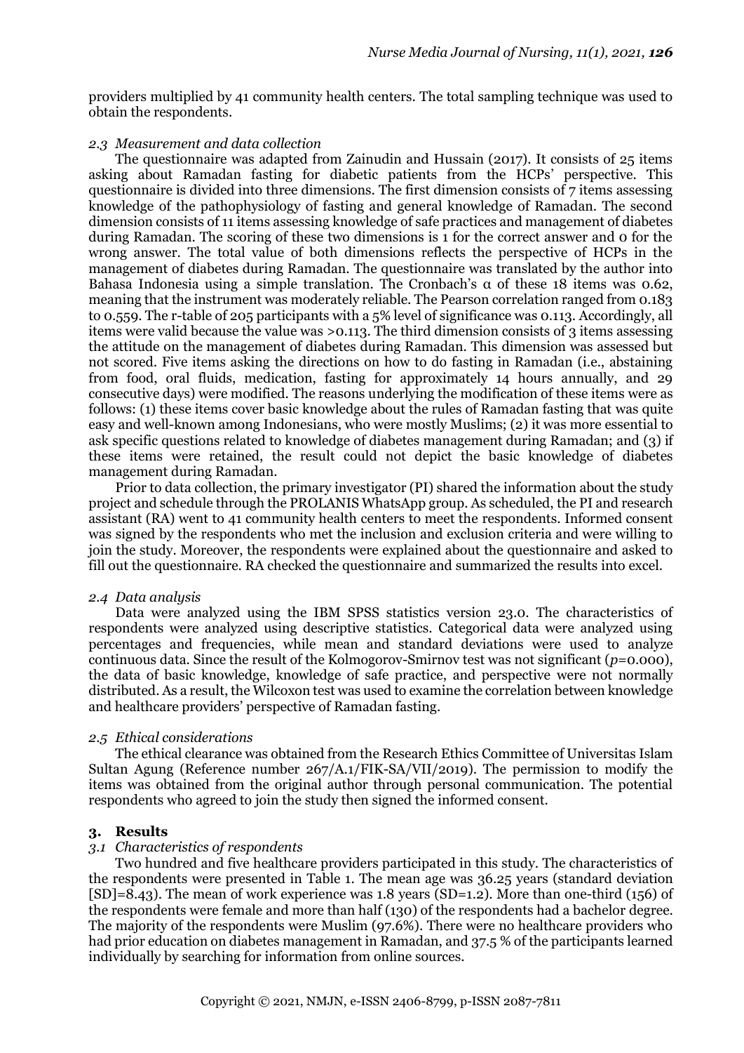providers multiplied by 41 community health centers. The total sampling technique was used to obtain the respondents.

#### *2.3 Measurement and data collection*

The questionnaire was adapted from Zainudin and Hussain (2017). It consists of 25 items asking about Ramadan fasting for diabetic patients from the HCPs' perspective. This questionnaire is divided into three dimensions. The first dimension consists of 7 items assessing knowledge of the pathophysiology of fasting and general knowledge of Ramadan. The second dimension consists of 11 items assessing knowledge of safe practices and management of diabetes during Ramadan. The scoring of these two dimensions is 1 for the correct answer and 0 for the wrong answer. The total value of both dimensions reflects the perspective of HCPs in the management of diabetes during Ramadan. The questionnaire was translated by the author into Bahasa Indonesia using a simple translation. The Cronbach's α of these 18 items was 0.62, meaning that the instrument was moderately reliable. The Pearson correlation ranged from 0.183 to 0.559. The r-table of 205 participants with a 5% level of significance was 0.113. Accordingly, all items were valid because the value was >0.113. The third dimension consists of 3 items assessing the attitude on the management of diabetes during Ramadan. This dimension was assessed but not scored. Five items asking the directions on how to do fasting in Ramadan (i.e., abstaining from food, oral fluids, medication, fasting for approximately 14 hours annually, and 29 consecutive days) were modified. The reasons underlying the modification of these items were as follows: (1) these items cover basic knowledge about the rules of Ramadan fasting that was quite easy and well-known among Indonesians, who were mostly Muslims; (2) it was more essential to ask specific questions related to knowledge of diabetes management during Ramadan; and (3) if these items were retained, the result could not depict the basic knowledge of diabetes management during Ramadan.

Prior to data collection, the primary investigator (PI) shared the information about the study project and schedule through the PROLANIS WhatsApp group. As scheduled, the PI and research assistant (RA) went to 41 community health centers to meet the respondents. Informed consent was signed by the respondents who met the inclusion and exclusion criteria and were willing to join the study. Moreover, the respondents were explained about the questionnaire and asked to fill out the questionnaire. RA checked the questionnaire and summarized the results into excel.

#### *2.4 Data analysis*

Data were analyzed using the IBM SPSS statistics version 23.0. The characteristics of respondents were analyzed using descriptive statistics. Categorical data were analyzed using percentages and frequencies, while mean and standard deviations were used to analyze continuous data. Since the result of the Kolmogorov-Smirnov test was not significant (*p*=0.000), the data of basic knowledge, knowledge of safe practice, and perspective were not normally distributed. As a result, the Wilcoxon test was used to examine the correlation between knowledge and healthcare providers' perspective of Ramadan fasting.

#### *2.5 Ethical considerations*

The ethical clearance was obtained from the Research Ethics Committee of Universitas Islam Sultan Agung (Reference number 267/A.1/FIK-SA/VII/2019). The permission to modify the items was obtained from the original author through personal communication. The potential respondents who agreed to join the study then signed the informed consent.

#### **3. Results**

#### *3.1 Characteristics of respondents*

Two hundred and five healthcare providers participated in this study. The characteristics of the respondents were presented in Table 1. The mean age was 36.25 years (standard deviation  $[SD]=8.43$ ). The mean of work experience was 1.8 years  $(SD=1.2)$ . More than one-third (156) of the respondents were female and more than half (130) of the respondents had a bachelor degree. The majority of the respondents were Muslim (97.6%). There were no healthcare providers who had prior education on diabetes management in Ramadan, and 37.5 % of the participants learned individually by searching for information from online sources.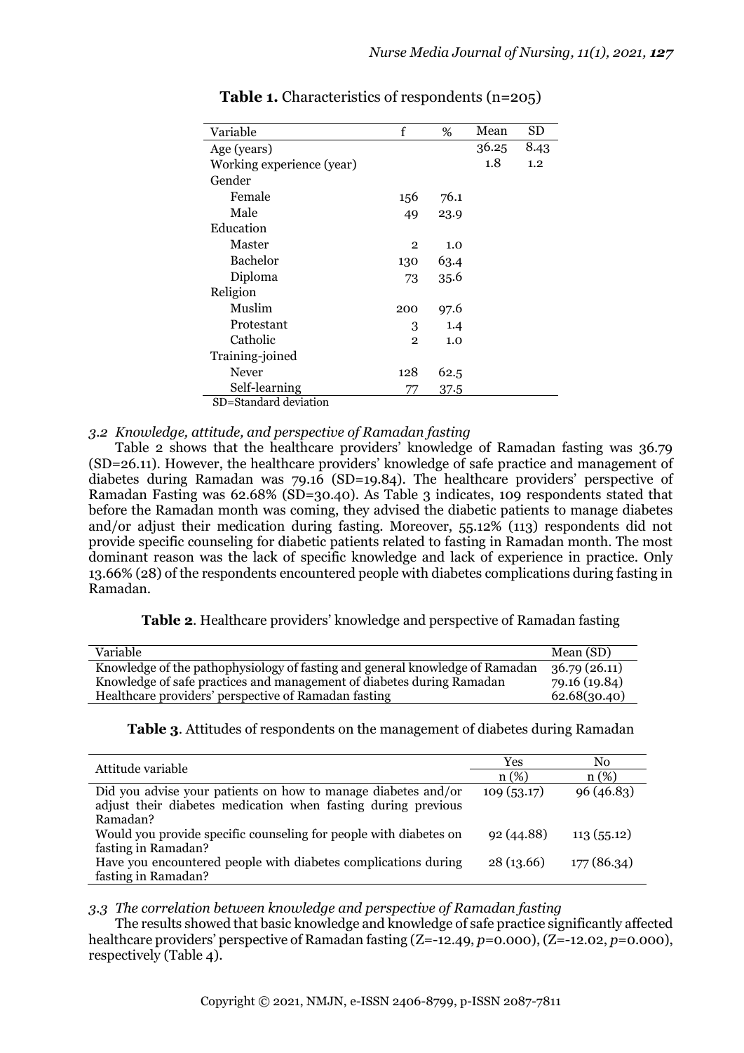| Variable                  | f              | %    | Mean  | SD   |
|---------------------------|----------------|------|-------|------|
| Age (years)               |                |      | 36.25 | 8.43 |
| Working experience (year) |                |      | 1.8   | 1.2  |
| Gender                    |                |      |       |      |
| Female                    | 156            | 76.1 |       |      |
| Male                      | 49             | 23.9 |       |      |
| Education                 |                |      |       |      |
| Master                    | $\overline{2}$ | 1.0  |       |      |
| Bachelor                  | 130            | 63.4 |       |      |
| Diploma                   | 73             | 35.6 |       |      |
| Religion                  |                |      |       |      |
| Muslim                    | 200            | 97.6 |       |      |
| Protestant                | 3              | 1.4  |       |      |
| Catholic                  | $\overline{2}$ | 1.0  |       |      |
| Training-joined           |                |      |       |      |
| Never                     | 128            | 62.5 |       |      |
| Self-learning             | 77             | 37.5 |       |      |
| SD=Standard deviation     |                |      |       |      |

**Table 1.** Characteristics of respondents (n=205)

### *3.2 Knowledge, attitude, and perspective of Ramadan fasting*

Table 2 shows that the healthcare providers' knowledge of Ramadan fasting was 36.79 (SD=26.11). However, the healthcare providers' knowledge of safe practice and management of diabetes during Ramadan was 79.16 (SD=19.84). The healthcare providers' perspective of Ramadan Fasting was 62.68% (SD=30.40). As Table 3 indicates, 109 respondents stated that before the Ramadan month was coming, they advised the diabetic patients to manage diabetes and/or adjust their medication during fasting. Moreover, 55.12% (113) respondents did not provide specific counseling for diabetic patients related to fasting in Ramadan month. The most dominant reason was the lack of specific knowledge and lack of experience in practice. Only 13.66% (28) of the respondents encountered people with diabetes complications during fasting in Ramadan.

**Table 2**. Healthcare providers' knowledge and perspective of Ramadan fasting

| Variable                                                                     | Mean $(SD)$   |
|------------------------------------------------------------------------------|---------------|
| Knowledge of the pathophysiology of fasting and general knowledge of Ramadan | 36.79(26.11)  |
| Knowledge of safe practices and management of diabetes during Ramadan        | 79.16 (19.84) |
| Healthcare providers' perspective of Ramadan fasting                         | 62.68(30.40)  |

**Table 3**. Attitudes of respondents on the management of diabetes during Ramadan

| Attitude variable                                                 | Yes        | No          |  |
|-------------------------------------------------------------------|------------|-------------|--|
|                                                                   | $n(\%)$    | $n(\%)$     |  |
| Did you advise your patients on how to manage diabetes and/or     | 109(53.17) | 96(46.83)   |  |
| adjust their diabetes medication when fasting during previous     |            |             |  |
| Ramadan?                                                          |            |             |  |
| Would you provide specific counseling for people with diabetes on | 92(44.88)  | 113(55.12)  |  |
| fasting in Ramadan?                                               |            |             |  |
| Have you encountered people with diabetes complications during    | 28(13.66)  | 177 (86.34) |  |
| fasting in Ramadan?                                               |            |             |  |

*3.3 The correlation between knowledge and perspective of Ramadan fasting*

The results showed that basic knowledge and knowledge of safe practice significantly affected healthcare providers' perspective of Ramadan fasting (Z=-12.49, *p*=0.000), (Z=-12.02, *p*=0.000), respectively (Table 4).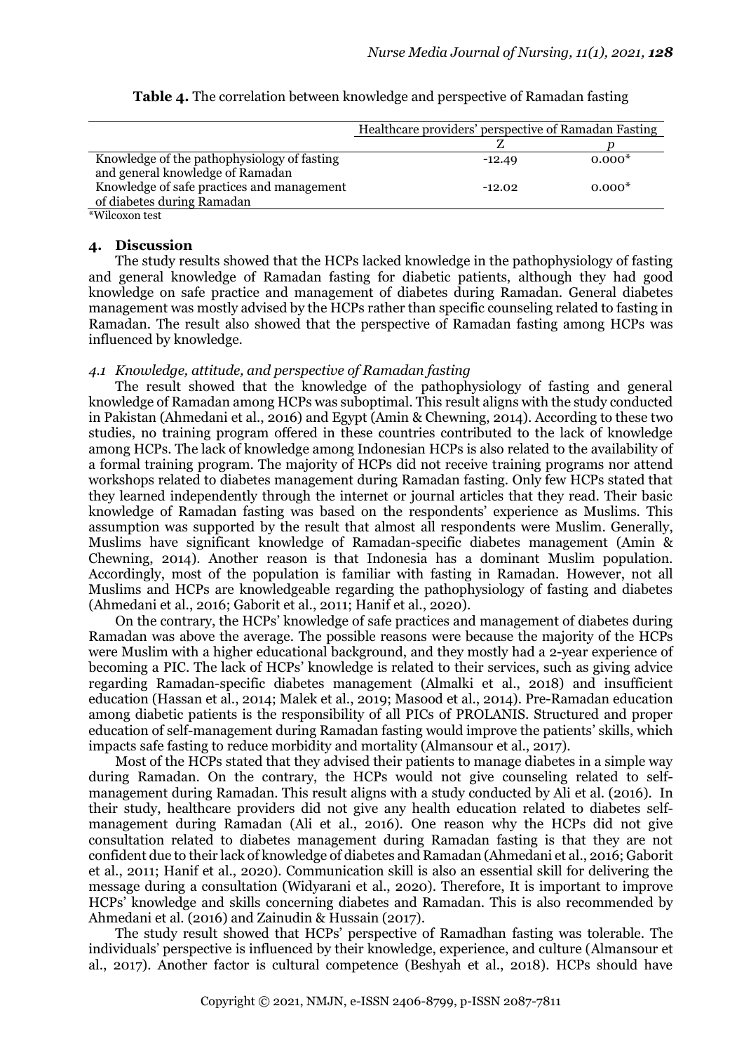|                                             | Healthcare providers' perspective of Ramadan Fasting |          |  |
|---------------------------------------------|------------------------------------------------------|----------|--|
|                                             |                                                      |          |  |
| Knowledge of the pathophysiology of fasting | $-12.49$                                             | $0.000*$ |  |
| and general knowledge of Ramadan            |                                                      |          |  |
| Knowledge of safe practices and management  | $-12.02$                                             | $0.000*$ |  |
| of diabetes during Ramadan                  |                                                      |          |  |

| Table 4. The correlation between knowledge and perspective of Ramadan fasting |  |  |  |
|-------------------------------------------------------------------------------|--|--|--|
|                                                                               |  |  |  |

\*Wilcoxon test

#### **4. Discussion**

The study results showed that the HCPs lacked knowledge in the pathophysiology of fasting and general knowledge of Ramadan fasting for diabetic patients, although they had good knowledge on safe practice and management of diabetes during Ramadan. General diabetes management was mostly advised by the HCPs rather than specific counseling related to fasting in Ramadan. The result also showed that the perspective of Ramadan fasting among HCPs was influenced by knowledge.

### *4.1 Knowledge, attitude, and perspective of Ramadan fasting*

The result showed that the knowledge of the pathophysiology of fasting and general knowledge of Ramadan among HCPs was suboptimal. This result aligns with the study conducted in Pakistan (Ahmedani et al., 2016) and Egypt (Amin & Chewning, 2014). According to these two studies, no training program offered in these countries contributed to the lack of knowledge among HCPs. The lack of knowledge among Indonesian HCPs is also related to the availability of a formal training program. The majority of HCPs did not receive training programs nor attend workshops related to diabetes management during Ramadan fasting. Only few HCPs stated that they learned independently through the internet or journal articles that they read. Their basic knowledge of Ramadan fasting was based on the respondents' experience as Muslims. This assumption was supported by the result that almost all respondents were Muslim. Generally, Muslims have significant knowledge of Ramadan-specific diabetes management (Amin & Chewning, 2014). Another reason is that Indonesia has a dominant Muslim population. Accordingly, most of the population is familiar with fasting in Ramadan. However, not all Muslims and HCPs are knowledgeable regarding the pathophysiology of fasting and diabetes (Ahmedani et al., 2016; Gaborit et al., 2011; Hanif et al., 2020).

On the contrary, the HCPs' knowledge of safe practices and management of diabetes during Ramadan was above the average. The possible reasons were because the majority of the HCPs were Muslim with a higher educational background, and they mostly had a 2-year experience of becoming a PIC. The lack of HCPs' knowledge is related to their services, such as giving advice regarding Ramadan-specific diabetes management (Almalki et al., 2018) and insufficient education (Hassan et al., 2014; Malek et al., 2019; Masood et al., 2014). Pre-Ramadan education among diabetic patients is the responsibility of all PICs of PROLANIS. Structured and proper education of self-management during Ramadan fasting would improve the patients' skills, which impacts safe fasting to reduce morbidity and mortality (Almansour et al., 2017).

Most of the HCPs stated that they advised their patients to manage diabetes in a simple way during Ramadan. On the contrary, the HCPs would not give counseling related to selfmanagement during Ramadan. This result aligns with a study conducted by Ali et al. (2016). In their study, healthcare providers did not give any health education related to diabetes selfmanagement during Ramadan (Ali et al., 2016). One reason why the HCPs did not give consultation related to diabetes management during Ramadan fasting is that they are not confident due to their lack of knowledge of diabetes and Ramadan (Ahmedani et al., 2016; Gaborit et al., 2011; Hanif et al., 2020). Communication skill is also an essential skill for delivering the message during a consultation (Widyarani et al., 2020). Therefore, It is important to improve HCPs' knowledge and skills concerning diabetes and Ramadan. This is also recommended by Ahmedani et al. (2016) and Zainudin & Hussain (2017).

The study result showed that HCPs' perspective of Ramadhan fasting was tolerable. The individuals' perspective is influenced by their knowledge, experience, and culture (Almansour et al., 2017). Another factor is cultural competence (Beshyah et al., 2018). HCPs should have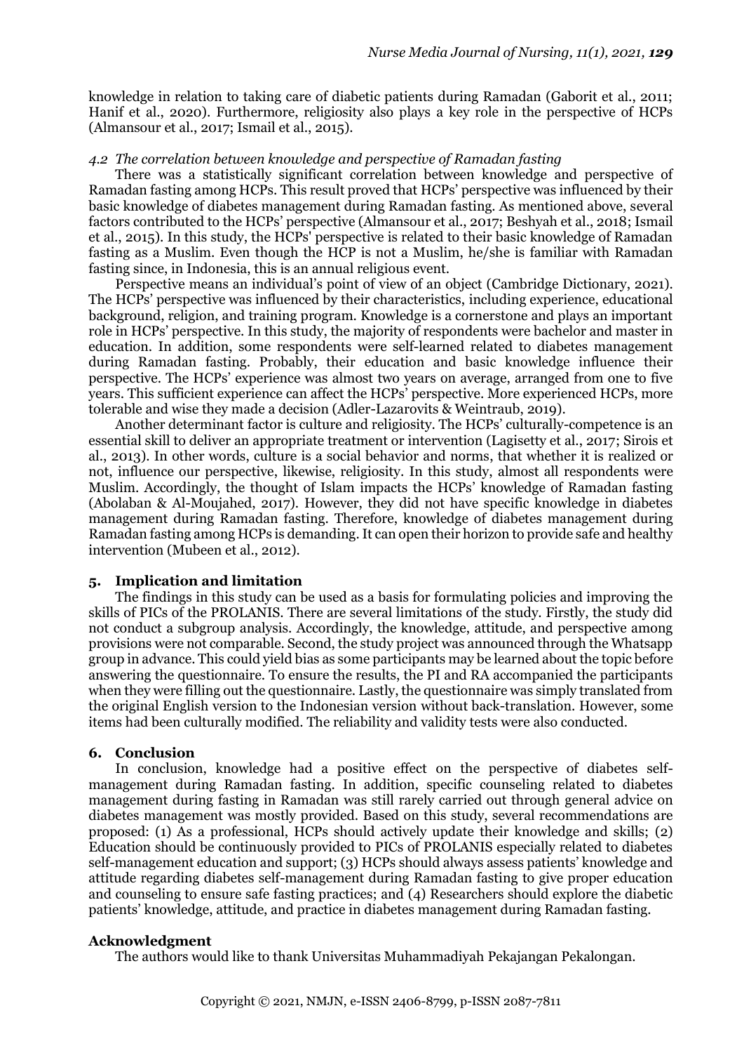knowledge in relation to taking care of diabetic patients during Ramadan (Gaborit et al., 2011; Hanif et al., 2020). Furthermore, religiosity also plays a key role in the perspective of HCPs (Almansour et al., 2017; Ismail et al., 2015).

#### *4.2 The correlation between knowledge and perspective of Ramadan fasting*

There was a statistically significant correlation between knowledge and perspective of Ramadan fasting among HCPs. This result proved that HCPs' perspective was influenced by their basic knowledge of diabetes management during Ramadan fasting. As mentioned above, several factors contributed to the HCPs' perspective (Almansour et al., 2017; Beshyah et al., 2018; Ismail et al., 2015). In this study, the HCPs' perspective is related to their basic knowledge of Ramadan fasting as a Muslim. Even though the HCP is not a Muslim, he/she is familiar with Ramadan fasting since, in Indonesia, this is an annual religious event.

Perspective means an individual's point of view of an object (Cambridge Dictionary, 2021). The HCPs' perspective was influenced by their characteristics, including experience, educational background, religion, and training program. Knowledge is a cornerstone and plays an important role in HCPs' perspective. In this study, the majority of respondents were bachelor and master in education. In addition, some respondents were self-learned related to diabetes management during Ramadan fasting. Probably, their education and basic knowledge influence their perspective. The HCPs' experience was almost two years on average, arranged from one to five years. This sufficient experience can affect the HCPs' perspective. More experienced HCPs, more tolerable and wise they made a decision (Adler-Lazarovits & Weintraub, 2019).

Another determinant factor is culture and religiosity. The HCPs' culturally-competence is an essential skill to deliver an appropriate treatment or intervention (Lagisetty et al., 2017; Sirois et al., 2013). In other words, culture is a social behavior and norms, that whether it is realized or not, influence our perspective, likewise, religiosity. In this study, almost all respondents were Muslim. Accordingly, the thought of Islam impacts the HCPs' knowledge of Ramadan fasting (Abolaban & Al-Moujahed, 2017). However, they did not have specific knowledge in diabetes management during Ramadan fasting. Therefore, knowledge of diabetes management during Ramadan fasting among HCPs is demanding. It can open their horizon to provide safe and healthy intervention (Mubeen et al., 2012).

#### **5. Implication and limitation**

The findings in this study can be used as a basis for formulating policies and improving the skills of PICs of the PROLANIS. There are several limitations of the study. Firstly, the study did not conduct a subgroup analysis. Accordingly, the knowledge, attitude, and perspective among provisions were not comparable. Second, the study project was announced through the Whatsapp group in advance. This could yield bias as some participants may be learned about the topic before answering the questionnaire. To ensure the results, the PI and RA accompanied the participants when they were filling out the questionnaire. Lastly, the questionnaire was simply translated from the original English version to the Indonesian version without back-translation. However, some items had been culturally modified. The reliability and validity tests were also conducted.

#### **6. Conclusion**

In conclusion, knowledge had a positive effect on the perspective of diabetes selfmanagement during Ramadan fasting. In addition, specific counseling related to diabetes management during fasting in Ramadan was still rarely carried out through general advice on diabetes management was mostly provided. Based on this study, several recommendations are proposed: (1) As a professional, HCPs should actively update their knowledge and skills; (2) Education should be continuously provided to PICs of PROLANIS especially related to diabetes self-management education and support; (3) HCPs should always assess patients' knowledge and attitude regarding diabetes self-management during Ramadan fasting to give proper education and counseling to ensure safe fasting practices; and (4) Researchers should explore the diabetic patients' knowledge, attitude, and practice in diabetes management during Ramadan fasting.

#### **Acknowledgment**

The authors would like to thank Universitas Muhammadiyah Pekajangan Pekalongan.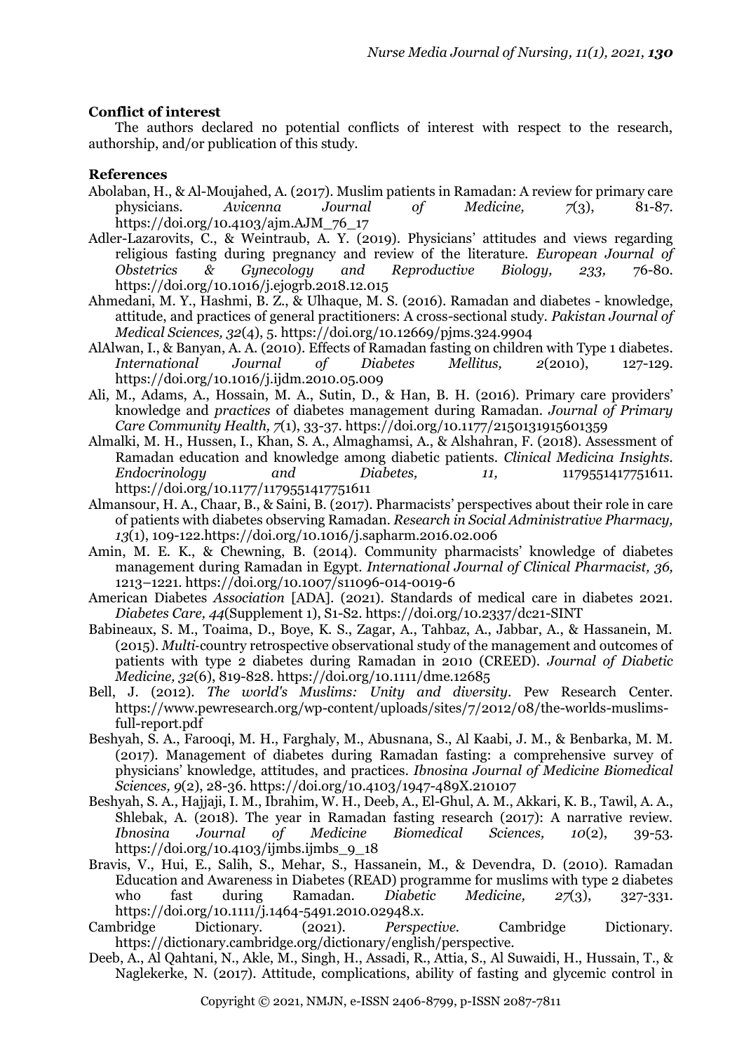## **Conflict of interest**

The authors declared no potential conflicts of interest with respect to the research, authorship, and/or publication of this study.

# **References**

- Abolaban, H., & Al-Moujahed, A. (2017). Muslim patients in Ramadan: A review for primary care physicians. *Avicenna Journal of Medicine, 7*(3), 81-87. https://doi.org/10.4103/ajm.AJM\_76\_17
- Adler-Lazarovits, C., & Weintraub, A. Y. (2019). Physicians' attitudes and views regarding religious fasting during pregnancy and review of the literature. *European Journal of Obstetrics & Gynecology and Reproductive Biology, 233,* 76-80. https://doi.org/10.1016/j.ejogrb.2018.12.015
- Ahmedani, M. Y., Hashmi, B. Z., & Ulhaque, M. S. (2016). Ramadan and diabetes knowledge, attitude, and practices of general practitioners: A cross-sectional study. *Pakistan Journal of Medical Sciences, 32*(4), 5. https://doi.org/10.12669/pjms.324.9904
- AlAlwan, I., & Banyan, A. A. (2010). Effects of Ramadan fasting on children with Type 1 diabetes. *International Journal of Diabetes Mellitus, 2*(2010), 127-129. https://doi.org/10.1016/j.ijdm.2010.05.009
- Ali, M., Adams, A., Hossain, M. A., Sutin, D., & Han, B. H. (2016). Primary care providers' knowledge and *practices* of diabetes management during Ramadan. *Journal of Primary Care Community Health, 7*(1), 33-37. https://doi.org/10.1177/2150131915601359
- Almalki, M. H., Hussen, I., Khan, S. A., Almaghamsi, A., & Alshahran, F. (2018). Assessment of Ramadan education and knowledge among diabetic patients. *Clinical Medicina Insights. Endocrinology and Diabetes, 11,* 1179551417751611. https://doi.org/10.1177/1179551417751611
- Almansour, H. A., Chaar, B., & Saini, B. (2017). Pharmacists' perspectives about their role in care of patients with diabetes observing Ramadan. *Research in Social Administrative Pharmacy, 13*(1), 109-122.https://doi.org/10.1016/j.sapharm.2016.02.006
- Amin, M. E. K., & Chewning, B. (2014). Community pharmacists' knowledge of diabetes management during Ramadan in Egypt. *International Journal of Clinical Pharmacist, 36,* 1213–1221. https://doi.org/10.1007/s11096-014-0019-6
- American Diabetes *Association* [ADA]. (2021). Standards of medical care in diabetes 2021. *Diabetes Care, 44*(Supplement 1), S1-S2. https://doi.org/10.2337/dc21-SINT
- Babineaux, S. M., Toaima, D., Boye, K. S., Zagar, A., Tahbaz, A., Jabbar, A., & Hassanein, M. (2015). *Multi*‐country retrospective observational study of the management and outcomes of patients with type 2 diabetes during Ramadan in 2010 (CREED). *Journal of Diabetic Medicine, 32*(6), 819-828. https://doi.org/10.1111/dme.12685
- Bell, J. (2012). *The world's Muslims: Unity and diversity*. Pew Research Center. https://www.pewresearch.org/wp-content/uploads/sites/7/2012/08/the-worlds-muslimsfull-report.pdf
- Beshyah, S. A., Farooqi, M. H., Farghaly, M., Abusnana, S., Al Kaabi, J. M., & Benbarka, M. M. (2017). Management of diabetes during Ramadan fasting: a comprehensive survey of physicians' knowledge, attitudes, and practices*. Ibnosina Journal of Medicine Biomedical Sciences, 9*(2), 28-36. https://doi.org/10.4103/1947-489X.210107
- Beshyah, S. A., Hajjaji, I. M., Ibrahim, W. H., Deeb, A., El-Ghul, A. M., Akkari, K. B., Tawil, A. A., Shlebak, A. (2018). The year in Ramadan fasting research (2017): A narrative review. *Ibnosina Journal of Medicine Biomedical Sciences, 10*(2), 39-53. https://doi.org/10.4103/ijmbs.ijmbs\_9\_18
- Bravis, V., Hui, E., Salih, S., Mehar, S., Hassanein, M., & Devendra, D. (2010). Ramadan Education and Awareness in Diabetes (READ) programme for muslims with type 2 diabetes who fast during Ramadan. *Diabetic Medicine, 27*(3), 327-331. https://doi.org/10.1111/j.1464-5491.2010.02948.x.
- Cambridge Dictionary. (2021). *Perspective.* Cambridge Dictionary. https://dictionary.cambridge.org/dictionary/english/perspective.
- Deeb, A., Al Qahtani, N., Akle, M., Singh, H., Assadi, R., Attia, S., Al Suwaidi, H., Hussain, T., & Naglekerke, N. (2017). Attitude, complications, ability of fasting and glycemic control in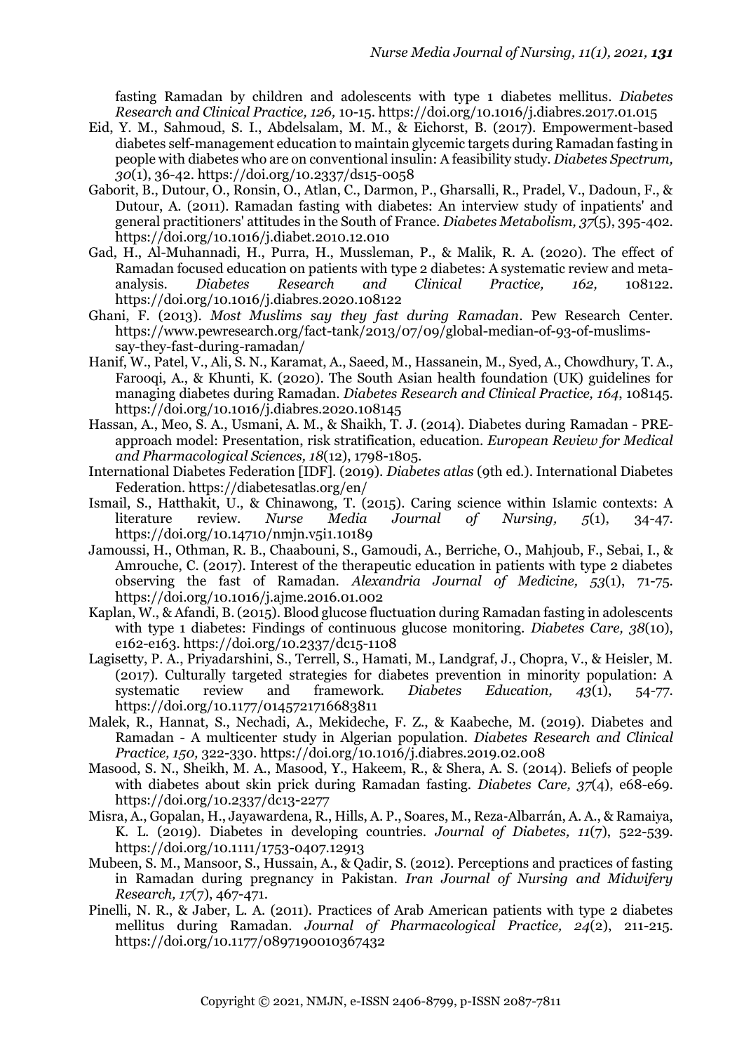fasting Ramadan by children and adolescents with type 1 diabetes mellitus. *Diabetes Research and Clinical Practice, 126,* 10-15. https://doi.org/10.1016/j.diabres.2017.01.015

- Eid, Y. M., Sahmoud, S. I., Abdelsalam, M. M., & Eichorst, B. (2017). Empowerment-based diabetes self-management education to maintain glycemic targets during Ramadan fasting in people with diabetes who are on conventional insulin: A feasibility study. *Diabetes Spectrum, 30*(1), 36-42. https://doi.org/10.2337/ds15-0058
- Gaborit, B., Dutour, O., Ronsin, O., Atlan, C., Darmon, P., Gharsalli, R., Pradel, V., Dadoun, F., & Dutour, A. (2011). Ramadan fasting with diabetes: An interview study of inpatients' and general practitioners' attitudes in the South of France. *Diabetes Metabolism, 37*(5), 395-402. https://doi.org/10.1016/j.diabet.2010.12.010
- Gad, H., Al-Muhannadi, H., Purra, H., Mussleman, P., & Malik, R. A. (2020). The effect of Ramadan focused education on patients with type 2 diabetes: A systematic review and metaanalysis. *Diabetes Research and Clinical Practice, 162,* 108122. https://doi.org/10.1016/j.diabres.2020.108122
- Ghani, F. (2013). *Most Muslims say they fast during Ramadan*. Pew Research Center. https://www.pewresearch.org/fact-tank/2013/07/09/global-median-of-93-of-muslimssay-they-fast-during-ramadan/
- Hanif, W., Patel, V., Ali, S. N., Karamat, A., Saeed, M., Hassanein, M., Syed, A., Chowdhury, T. A., Farooqi, A., & Khunti, K. (2020). The South Asian health foundation (UK) guidelines for managing diabetes during Ramadan. *Diabetes Research and Clinical Practice, 164*, 108145. https://doi.org/10.1016/j.diabres.2020.108145
- Hassan, A., Meo, S. A., Usmani, A. M., & Shaikh, T. J. (2014). Diabetes during Ramadan PREapproach model: Presentation, risk stratification, education. *European Review for Medical and Pharmacological Sciences, 18*(12), 1798-1805.
- International Diabetes Federation [IDF]. (2019). *Diabetes atlas* (9th ed.). International Diabetes Federation. https://diabetesatlas.org/en/
- Ismail, S., Hatthakit, U., & Chinawong, T. (2015). Caring science within Islamic contexts: A literature review. *Nurse Media Journal of Nursing, 5*(1), 34-47. https://doi.org/10.14710/nmjn.v5i1.10189
- Jamoussi, H., Othman, R. B., Chaabouni, S., Gamoudi, A., Berriche, O., Mahjoub, F., Sebai, I., & Amrouche, C. (2017). Interest of the therapeutic education in patients with type 2 diabetes observing the fast of Ramadan. *Alexandria Journal of Medicine, 53*(1), 71-75. https://doi.org/10.1016/j.ajme.2016.01.002
- Kaplan, W., & Afandi, B. (2015). Blood glucose fluctuation during Ramadan fasting in adolescents with type 1 diabetes: Findings of continuous glucose monitoring. *Diabetes Care, 38*(10), e162-e163. https://doi.org/10.2337/dc15-1108
- Lagisetty, P. A., Priyadarshini, S., Terrell, S., Hamati, M., Landgraf, J., Chopra, V., & Heisler, M. (2017). Culturally targeted strategies for diabetes prevention in minority population: A systematic review and framework. *Diabetes Education, 43*(1), 54-77. https://doi.org/10.1177/0145721716683811
- Malek, R., Hannat, S., Nechadi, A., Mekideche, F. Z., & Kaabeche, M. (2019). Diabetes and Ramadan - A multicenter study in Algerian population. *Diabetes Research and Clinical Practice, 150,* 322-330. https://doi.org/10.1016/j.diabres.2019.02.008
- Masood, S. N., Sheikh, M. A., Masood, Y., Hakeem, R., & Shera, A. S. (2014). Beliefs of people with diabetes about skin prick during Ramadan fasting. *Diabetes Care, 37*(4), e68-e69. https://doi.org/10.2337/dc13-2277
- Misra, A., Gopalan, H., Jayawardena, R., Hills, A. P., Soares, M., Reza‐Albarrán, A. A., & Ramaiya, K. L. (2019). Diabetes in developing countries. *Journal of Diabetes, 11*(7), 522-539. https://doi.org/10.1111/1753-0407.12913
- Mubeen, S. M., Mansoor, S., Hussain, A., & Qadir, S. (2012). Perceptions and practices of fasting in Ramadan during pregnancy in Pakistan. *Iran Journal of Nursing and Midwifery Research, 17*(7), 467-471.
- Pinelli, N. R., & Jaber, L. A. (2011). Practices of Arab American patients with type 2 diabetes mellitus during Ramadan. *Journal of Pharmacological Practice, 24*(2), 211-215. https://doi.org/10.1177/0897190010367432